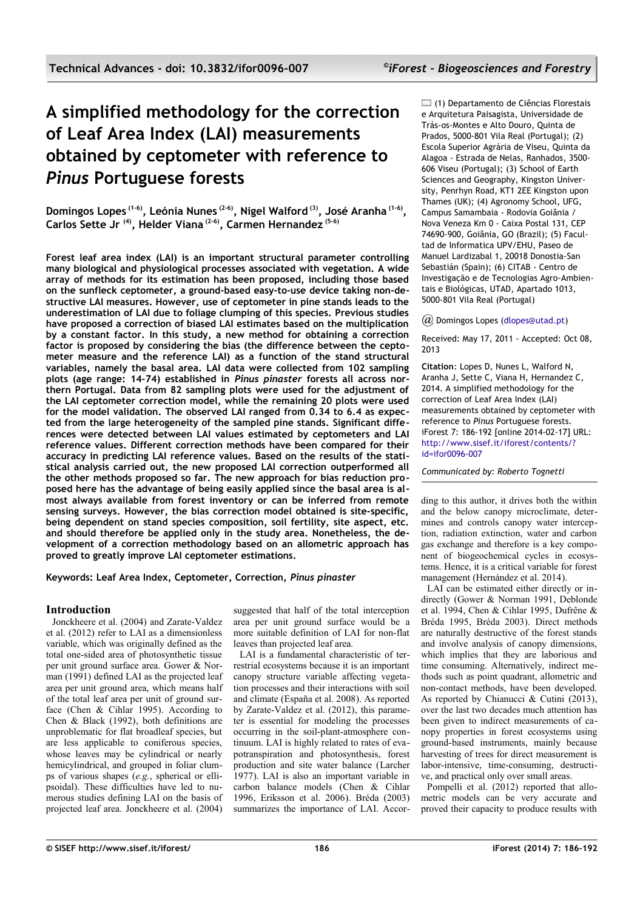# **A simplified methodology for the correction of Leaf Area Index (LAI) measurements obtained by ceptometer with reference to** *Pinus* **Portuguese forests**

**Domingos Lopes (1-6), Leónia Nunes (2-6), Nigel Walford (3), José Aranha (1-6) , Carlos Sette Jr (4), Helder Viana (2-6), Carmen Hernandez (5-6)**

**Forest leaf area index (LAI) is an important structural parameter controlling many biological and physiological processes associated with vegetation. A wide array of methods for its estimation has been proposed, including those based on the sunfleck ceptometer, a ground-based easy-to-use device taking non-destructive LAI measures. However, use of ceptometer in pine stands leads to the underestimation of LAI due to foliage clumping of this species. Previous studies have proposed a correction of biased LAI estimates based on the multiplication by a constant factor. In this study, a new method for obtaining a correction factor is proposed by considering the bias (the difference between the ceptometer measure and the reference LAI) as a function of the stand structural variables, namely the basal area. LAI data were collected from 102 sampling plots (age range: 14-74) established in** *Pinus pinaster* **forests all across northern Portugal. Data from 82 sampling plots were used for the adjustment of the LAI ceptometer correction model, while the remaining 20 plots were used for the model validation. The observed LAI ranged from 0.34 to 6.4 as expected from the large heterogeneity of the sampled pine stands. Significant differences were detected between LAI values estimated by ceptometers and LAI reference values. Different correction methods have been compared for their accuracy in predicting LAI reference values. Based on the results of the statistical analysis carried out, the new proposed LAI correction outperformed all the other methods proposed so far. The new approach for bias reduction proposed here has the advantage of being easily applied since the basal area is almost always available from forest inventory or can be inferred from remote sensing surveys. However, the bias correction model obtained is site-specific, being dependent on stand species composition, soil fertility, site aspect, etc. and should therefore be applied only in the study area. Nonetheless, the development of a correction methodology based on an allometric approach has proved to greatly improve LAI ceptometer estimations.**

**Keywords: Leaf Area Index, Ceptometer, Correction,** *Pinus pinaster*

# **Introduction**

Jonckheere et al. (2004) and Zarate-Valdez et al. (2012) refer to LAI as a dimensionless variable, which was originally defined as the total one-sided area of photosynthetic tissue per unit ground surface area. Gower & Norman (1991) defined LAI as the projected leaf area per unit ground area, which means half of the total leaf area per unit of ground surface (Chen & Cihlar 1995). According to Chen & Black (1992), both definitions are unproblematic for flat broadleaf species, but are less applicable to coniferous species, whose leaves may be cylindrical or nearly hemicylindrical, and grouped in foliar clumps of various shapes (*e.g.*, spherical or ellipsoidal). These difficulties have led to numerous studies defining LAI on the basis of projected leaf area. Jonckheere et al. (2004)

suggested that half of the total interception area per unit ground surface would be a more suitable definition of LAI for non-flat leaves than projected leaf area.

LAI is a fundamental characteristic of terrestrial ecosystems because it is an important canopy structure variable affecting vegetation processes and their interactions with soil and climate (España et al. 2008). As reported by Zarate-Valdez et al. (2012), this parameter is essential for modeling the processes occurring in the soil-plant-atmosphere continuum. LAI is highly related to rates of evapotranspiration and photosynthesis, forest production and site water balance (Larcher 1977). LAI is also an important variable in carbon balance models (Chen & Cihlar 1996, Eriksson et al. 2006). Bréda (2003) summarizes the importance of LAI. Accor(1) Departamento de Ciências Florestais e Arquitetura Paisagista, Universidade de Trás-os-Montes e Alto Douro, Quinta de Prados, 5000-801 Vila Real (Portugal); (2) Escola Superior Agrária de Viseu, Quinta da Alagoa - Estrada de Nelas, Ranhados, 3500- 606 Viseu (Portugal); (3) School of Earth Sciences and Geography, Kingston University, Penrhyn Road, KT1 2EE Kingston upon Thames (UK); (4) Agronomy School, UFG, Campus Samambaia - Rodovia Goiânia / Nova Veneza Km 0 - Caixa Postal 131, CEP 74690-900, Goiânia, GO (Brazil); (5) Facultad de Informatica UPV/EHU, Paseo de Manuel Lardizabal 1, 20018 Donostia-San Sebastián (Spain); (6) CITAB - Centro de Investigação e de Tecnologias Agro-Ambientais e Biológicas, UTAD, Apartado 1013, 5000-801 Vila Real (Portugal)

#### *@* Domingos Lopes [\(dlopes@utad.pt\)](mailto:)

Received: May 17, 2011 - Accepted: Oct 08, 2013

**Citation**: Lopes D, Nunes L, Walford N, Aranha J, Sette C, Viana H, Hernandez C, 2014. A simplified methodology for the correction of Leaf Area Index (LAI) measurements obtained by ceptometer with reference to *Pinus* Portuguese forests. iForest 7: 186-192 [online 2014-02-17] URL: [http://www.sisef.it/iforest/contents/?](http://www.sisef.it/iforest/contents/?id=ifor0096-007) [id=ifor0096-007](http://www.sisef.it/iforest/contents/?id=ifor0096-007)

*Communicated by: Roberto Tognetti*

ding to this author, it drives both the within and the below canopy microclimate, determines and controls canopy water interception, radiation extinction, water and carbon gas exchange and therefore is a key component of biogeochemical cycles in ecosystems. Hence, it is a critical variable for forest management (Hernández et al. 2014).

LAI can be estimated either directly or indirectly (Gower & Norman 1991, Deblonde et al. 1994, Chen & Cihlar 1995, Dufrêne & Bréda 1995, Bréda 2003). Direct methods are naturally destructive of the forest stands and involve analysis of canopy dimensions, which implies that they are laborious and time consuming. Alternatively, indirect methods such as point quadrant, allometric and non-contact methods, have been developed. As reported by Chianucci & Cutini (2013). over the last two decades much attention has been given to indirect measurements of canopy properties in forest ecosystems using ground-based instruments, mainly because harvesting of trees for direct measurement is labor-intensive, time-consuming, destructive, and practical only over small areas.

Pompelli et al. (2012) reported that allometric models can be very accurate and proved their capacity to produce results with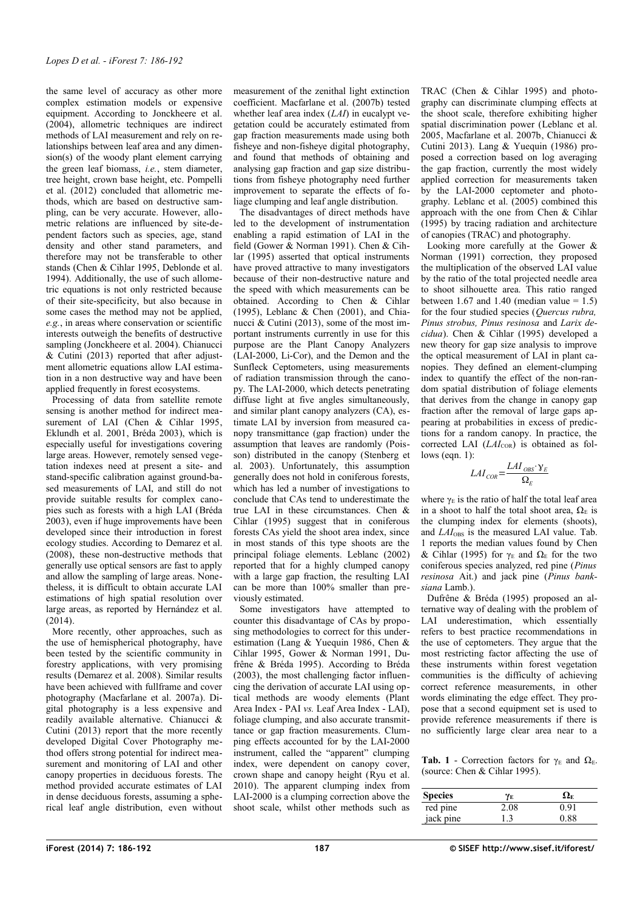the same level of accuracy as other more complex estimation models or expensive equipment. According to Jonckheere et al. (2004), allometric techniques are indirect methods of LAI measurement and rely on relationships between leaf area and any dimension(s) of the woody plant element carrying the green leaf biomass, *i.e.*, stem diameter, tree height, crown base height, etc. Pompelli et al. (2012) concluded that allometric methods, which are based on destructive sampling, can be very accurate. However, allometric relations are influenced by site-dependent factors such as species, age, stand density and other stand parameters, and therefore may not be transferable to other stands (Chen & Cihlar 1995, Deblonde et al. 1994). Additionally, the use of such allometric equations is not only restricted because of their site-specificity, but also because in some cases the method may not be applied, *e.g.*, in areas where conservation or scientific interests outweigh the benefits of destructive sampling (Jonckheere et al. 2004). Chianucci & Cutini (2013) reported that after adjustment allometric equations allow LAI estimation in a non destructive way and have been applied frequently in forest ecosystems.

Processing of data from satellite remote sensing is another method for indirect measurement of LAI (Chen & Cihlar 1995, Eklundh et al. 2001, Bréda 2003), which is especially useful for investigations covering large areas. However, remotely sensed vegetation indexes need at present a site- and stand-specific calibration against ground-based measurements of LAI, and still do not provide suitable results for complex canopies such as forests with a high LAI (Bréda 2003), even if huge improvements have been developed since their introduction in forest ecology studies. According to Demarez et al. (2008), these non-destructive methods that generally use optical sensors are fast to apply and allow the sampling of large areas. Nonetheless, it is difficult to obtain accurate LAI estimations of high spatial resolution over large areas, as reported by Hernández et al. (2014).

More recently, other approaches, such as the use of hemispherical photography, have been tested by the scientific community in forestry applications, with very promising results (Demarez et al. 2008). Similar results have been achieved with fullframe and cover photography (Macfarlane et al. 2007a). Digital photography is a less expensive and readily available alternative. Chianucci & Cutini (2013) report that the more recently developed Digital Cover Photography method offers strong potential for indirect measurement and monitoring of LAI and other canopy properties in deciduous forests. The method provided accurate estimates of LAI in dense deciduous forests, assuming a spherical leaf angle distribution, even without measurement of the zenithal light extinction coefficient. Macfarlane et al. (2007b) tested whether leaf area index (*LAI*) in eucalypt vegetation could be accurately estimated from gap fraction measurements made using both fisheye and non-fisheye digital photography, and found that methods of obtaining and analysing gap fraction and gap size distributions from fisheye photography need further improvement to separate the effects of foliage clumping and leaf angle distribution.

The disadvantages of direct methods have led to the development of instrumentation enabling a rapid estimation of LAI in the field (Gower & Norman 1991). Chen & Cihlar (1995) asserted that optical instruments have proved attractive to many investigators because of their non-destructive nature and the speed with which measurements can be obtained. According to Chen & Cihlar (1995), Leblanc & Chen (2001), and Chianucci & Cutini (2013), some of the most important instruments currently in use for this purpose are the Plant Canopy Analyzers (LAI-2000, Li-Cor), and the Demon and the Sunfleck Ceptometers, using measurements of radiation transmission through the canopy. The LAI-2000, which detects penetrating diffuse light at five angles simultaneously, and similar plant canopy analyzers (CA), estimate LAI by inversion from measured canopy transmittance (gap fraction) under the assumption that leaves are randomly (Poisson) distributed in the canopy (Stenberg et al. 2003). Unfortunately, this assumption generally does not hold in coniferous forests, which has led a number of investigations to conclude that CAs tend to underestimate the true LAI in these circumstances. Chen & Cihlar (1995) suggest that in coniferous forests CAs yield the shoot area index, since in most stands of this type shoots are the principal foliage elements. Leblanc (2002) reported that for a highly clumped canopy with a large gap fraction, the resulting LAI can be more than 100% smaller than previously estimated.

Some investigators have attempted to counter this disadvantage of CAs by proposing methodologies to correct for this underestimation (Lang & Yuequin 1986, Chen & Cihlar 1995, Gower & Norman 1991, Dufrêne & Bréda 1995). According to Bréda (2003), the most challenging factor influencing the derivation of accurate LAI using optical methods are woody elements (Plant Area Index - PAI *vs.* Leaf Area Index - LAI), foliage clumping, and also accurate transmittance or gap fraction measurements. Clumping effects accounted for by the LAI-2000 instrument, called the "apparent" clumping index, were dependent on canopy cover, crown shape and canopy height (Ryu et al. 2010). The apparent clumping index from LAI-2000 is a clumping correction above the shoot scale, whilst other methods such as TRAC (Chen & Cihlar 1995) and photography can discriminate clumping effects at the shoot scale, therefore exhibiting higher spatial discrimination power (Leblanc et al. 2005, Macfarlane et al. 2007b, Chianucci & Cutini 2013). Lang & Yuequin (1986) proposed a correction based on log averaging the gap fraction, currently the most widely applied correction for measurements taken by the LAI-2000 ceptometer and photography. Leblanc et al. (2005) combined this approach with the one from Chen & Cihlar (1995) by tracing radiation and architecture of canopies (TRAC) and photography.

Looking more carefully at the Gower & Norman (1991) correction, they proposed the multiplication of the observed LAI value by the ratio of the total projected needle area to shoot silhouette area. This ratio ranged between 1.67 and 1.40 (median value =  $1.5$ ) for the four studied species (*Quercus rubra, Pinus strobus, Pinus resinosa* and *Larix decidua*). Chen & Cihlar (1995) developed a new theory for gap size analysis to improve the optical measurement of LAI in plant canopies. They defined an element-clumping index to quantify the effect of the non-random spatial distribution of foliage elements that derives from the change in canopy gap fraction after the removal of large gaps appearing at probabilities in excess of predictions for a random canopy. In practice, the corrected LAI (*LAI*<sub>COR</sub>) is obtained as follows (eqn. 1):

$$
LAI_{COR} = \frac{LAI_{OBS} \cdot \gamma_E}{\Omega_E}
$$

where  $\gamma_E$  is the ratio of half the total leaf area in a shoot to half the total shoot area,  $\Omega_F$  is the clumping index for elements (shoots), and  $LAI_{\text{OBS}}$  is the measured LAI value. [Tab.](#page-1-0) [1](#page-1-0) reports the median values found by Chen & Cihlar (1995) for  $γ_E$  and  $Ω_E$  for the two coniferous species analyzed, red pine (*Pinus resinosa* Ait.) and jack pine (*Pinus banksiana* Lamb.).

Dufrêne & Bréda (1995) proposed an alternative way of dealing with the problem of LAI underestimation, which essentially refers to best practice recommendations in the use of ceptometers. They argue that the most restricting factor affecting the use of these instruments within forest vegetation communities is the difficulty of achieving correct reference measurements, in other words eliminating the edge effect. They propose that a second equipment set is used to provide reference measurements if there is no sufficiently large clear area near to a

<span id="page-1-0"></span>**Tab. 1** - Correction factors for  $\gamma_E$  and  $\Omega_E$ . (source: Chen & Cihlar 1995).

| <b>Species</b> | YЕ   | Ωĸ   |
|----------------|------|------|
| red pine       | 2.08 | 0.91 |
| jack pine      |      | 0 88 |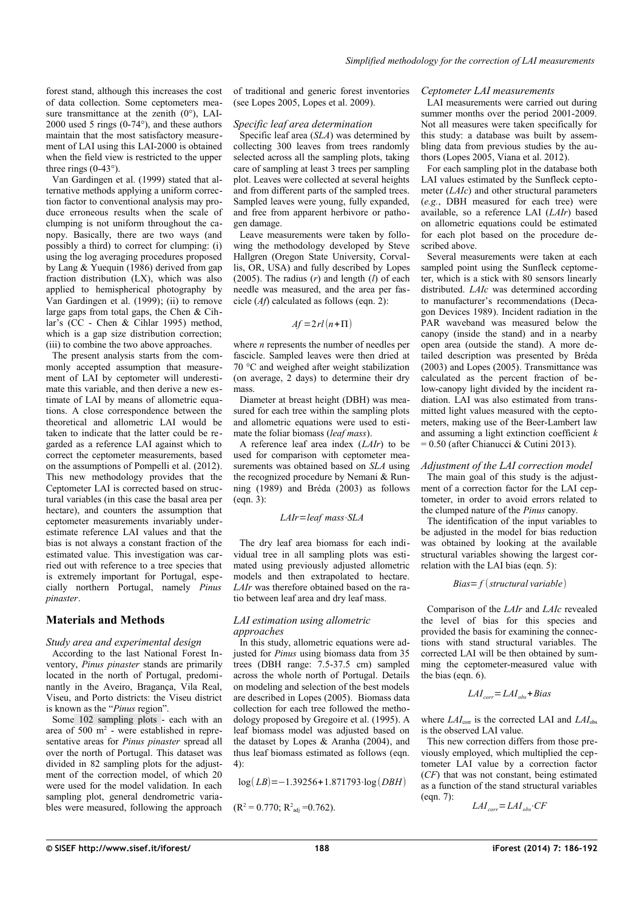forest stand, although this increases the cost of data collection. Some ceptometers measure transmittance at the zenith  $(0^{\circ})$ , LAI-2000 used 5 rings (0-74°), and these authors maintain that the most satisfactory measurement of LAI using this LAI-2000 is obtained when the field view is restricted to the upper three rings (0-43°).

Van Gardingen et al. (1999) stated that alternative methods applying a uniform correction factor to conventional analysis may produce erroneous results when the scale of clumping is not uniform throughout the canopy. Basically, there are two ways (and possibly a third) to correct for clumping: (i) using the log averaging procedures proposed by Lang  $&$  Yuequin (1986) derived from gap fraction distribution (LX), which was also applied to hemispherical photography by Van Gardingen et al. (1999); (ii) to remove large gaps from total gaps, the Chen & Cihlar's (CC - Chen & Cihlar 1995) method, which is a gap size distribution correction; (iii) to combine the two above approaches.

The present analysis starts from the commonly accepted assumption that measurement of LAI by ceptometer will underestimate this variable, and then derive a new estimate of LAI by means of allometric equations. A close correspondence between the theoretical and allometric LAI would be taken to indicate that the latter could be regarded as a reference LAI against which to correct the ceptometer measurements, based on the assumptions of Pompelli et al. (2012). This new methodology provides that the Ceptometer LAI is corrected based on structural variables (in this case the basal area per hectare), and counters the assumption that ceptometer measurements invariably underestimate reference LAI values and that the bias is not always a constant fraction of the estimated value. This investigation was carried out with reference to a tree species that is extremely important for Portugal, especially northern Portugal, namely *Pinus pinaster*.

# **Materials and Methods**

#### *Study area and experimental design*

According to the last National Forest Inventory, *Pinus pinaster* stands are primarily located in the north of Portugal, predominantly in the Aveiro, Bragança, Vila Real, Viseu, and Porto districts: the Viseu district is known as the "*Pinus* region".

Some 102 sampling plots - each with an area of  $500 \text{ m}^2$  - were established in representative areas for *Pinus pinaster* spread all over the north of Portugal. This dataset was divided in 82 sampling plots for the adjustment of the correction model, of which 20 were used for the model validation. In each sampling plot, general dendrometric variables were measured, following the approach of traditional and generic forest inventories (see Lopes 2005, Lopes et al. 2009).

#### *Specific leaf area determination*

Specific leaf area (*SLA*) was determined by collecting 300 leaves from trees randomly selected across all the sampling plots, taking care of sampling at least 3 trees per sampling plot. Leaves were collected at several heights and from different parts of the sampled trees. Sampled leaves were young, fully expanded, and free from apparent herbivore or pathogen damage.

Leave measurements were taken by following the methodology developed by Steve Hallgren (Oregon State University, Corvallis, OR, USA) and fully described by Lopes (2005). The radius (*r*) and length (*l*) of each needle was measured, and the area per fascicle (*Af*) calculated as follows (eqn. 2):

$$
Af = 2rl(n+\Pi)
$$

where *n* represents the number of needles per fascicle. Sampled leaves were then dried at 70 °C and weighed after weight stabilization (on average, 2 days) to determine their dry mass.

Diameter at breast height (DBH) was measured for each tree within the sampling plots and allometric equations were used to estimate the foliar biomass (*leaf mass*).

A reference leaf area index (*LAIr*) to be used for comparison with ceptometer measurements was obtained based on *SLA* using the recognized procedure by Nemani & Running (1989) and Bréda (2003) as follows  $(ean. 3)$ :

*LAIr*=*leaf mass*⋅*SLA*

The dry leaf area biomass for each individual tree in all sampling plots was estimated using previously adjusted allometric models and then extrapolated to hectare. *LAIr* was therefore obtained based on the ratio between leaf area and dry leaf mass.

#### *LAI estimation using allometric approaches*

In this study, allometric equations were adjusted for *Pinus* using biomass data from 35 trees (DBH range: 7.5-37.5 cm) sampled across the whole north of Portugal. Details on modeling and selection of the best models are described in Lopes (2005). Biomass data collection for each tree followed the methodology proposed by Gregoire et al. (1995). A leaf biomass model was adjusted based on the dataset by Lopes & Aranha (2004), and thus leaf biomass estimated as follows (eqn. 4):

$$
\log(LB) = -1.39256 + 1.871793 \cdot \log(DBH)
$$

$$
(R^2 = 0.770; R^2_{\text{adj}} = 0.762).
$$

### *Ceptometer LAI measurements*

LAI measurements were carried out during summer months over the period  $2001-2009$ . Not all measures were taken specifically for this study: a database was built by assembling data from previous studies by the authors (Lopes 2005, Viana et al. 2012).

For each sampling plot in the database both LAI values estimated by the Sunfleck ceptometer (*LAIc*) and other structural parameters (*e.g.*, DBH measured for each tree) were available, so a reference LAI (*LAIr*) based on allometric equations could be estimated for each plot based on the procedure described above.

Several measurements were taken at each sampled point using the Sunfleck ceptometer, which is a stick with 80 sensors linearly distributed. *LAIc* was determined according to manufacturer's recommendations (Decagon Devices 1989). Incident radiation in the PAR waveband was measured below the canopy (inside the stand) and in a nearby open area (outside the stand). A more detailed description was presented by Bréda (2003) and Lopes (2005). Transmittance was calculated as the percent fraction of below-canopy light divided by the incident radiation. LAI was also estimated from transmitted light values measured with the ceptometers, making use of the Beer-Lambert law and assuming a light extinction coefficient *k*  $= 0.50$  (after Chianucci & Cutini 2013).

## *Adjustment of the LAI correction model*

The main goal of this study is the adjustment of a correction factor for the LAI ceptometer, in order to avoid errors related to the clumped nature of the *Pinus* canopy.

The identification of the input variables to be adjusted in the model for bias reduction was obtained by looking at the available structural variables showing the largest correlation with the LAI bias (eqn. 5):

$$
Bias = f \left( structural\ variable \right)
$$

Comparison of the *LAIr* and *LAIc* revealed the level of bias for this species and provided the basis for examining the connections with stand structural variables. The corrected LAI will be then obtained by summing the ceptometer-measured value with the bias (eqn. 6).

$$
LAI_{corr} = LAI_{obs} + Bias
$$

where  $LAI_{\text{corr}}$  is the corrected LAI and  $LAI_{\text{obs}}$ is the observed LAI value.

This new correction differs from those previously employed, which multiplied the ceptometer LAI value by a correction factor (*CF*) that was not constant, being estimated as a function of the stand structural variables (eqn. 7):

$$
LAI_{corr} = LAI_{obs} \cdot CF
$$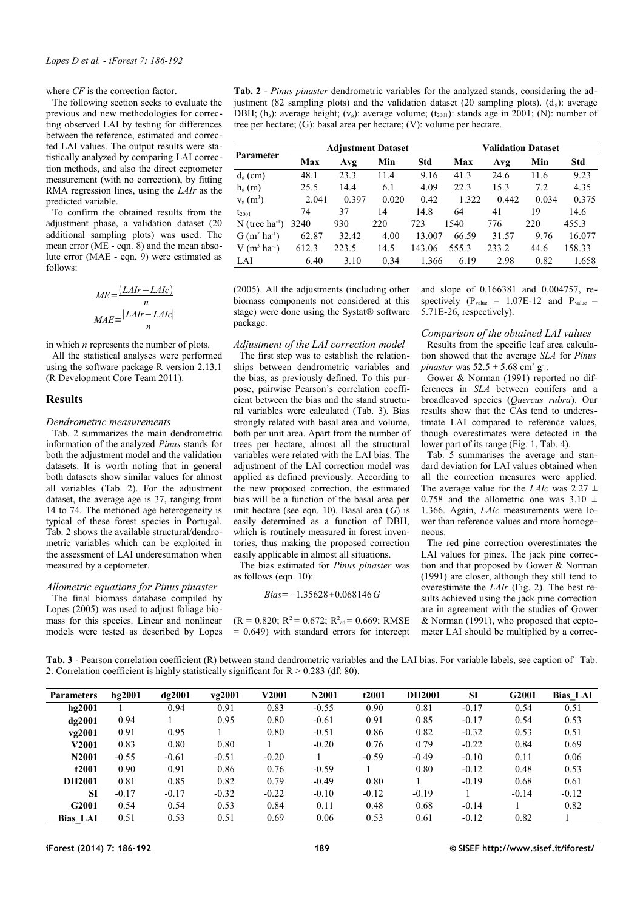where *CF* is the correction factor.

The following section seeks to evaluate the previous and new methodologies for correcting observed LAI by testing for differences between the reference, estimated and corrected LAI values. The output results were statistically analyzed by comparing LAI correction methods, and also the direct ceptometer measurement (with no correction), by fitting RMA regression lines, using the *LAIr* as the predicted variable.

To confirm the obtained results from the adjustment phase, a validation dataset (20 additional sampling plots) was used. The mean error (ME - eqn. 8) and the mean absolute error (MAE - eqn. 9) were estimated as follows:

$$
ME = \frac{(LAIr - LAIC)}{n}
$$

$$
MAE = \frac{|LAIr - LAIC|}{n}
$$

in which *n* represents the number of plots.

All the statistical analyses were performed using the software package R version 2.13.1 (R Development Core Team 2011).

### **Results**

#### *Dendrometric measurements*

[Tab. 2](#page-3-0) summarizes the main dendrometric information of the analyzed *Pinus* stands for both the adjustment model and the validation datasets. It is worth noting that in general both datasets show similar values for almost all variables [\(Tab. 2\)](#page-3-0). For the adjustment dataset, the average age is 37, ranging from 14 to 74. The metioned age heterogeneity is typical of these forest species in Portugal. [Tab. 2](#page-3-0) shows the available structural/dendrometric variables which can be exploited in the assessment of LAI underestimation when measured by a ceptometer.

## *Allometric equations for Pinus pinaster*

The final biomass database compiled by Lopes (2005) was used to adjust foliage biomass for this species. Linear and nonlinear models were tested as described by Lopes

<span id="page-3-0"></span>**Tab. 2** - *Pinus pinaster* dendrometric variables for the analyzed stands, considering the adjustment (82 sampling plots) and the validation dataset (20 sampling plots).  $(d_g)$ : average DBH;  $(h_g)$ : average height;  $(v_g)$ : average volume;  $(t_{2001})$ : stands age in 2001; (N): number of tree per hectare; (G): basal area per hectare; (V): volume per hectare.

| Parameter                    | <b>Adjustment Dataset</b> |       |       |        | <b>Validation Dataset</b> |       |       |        |  |
|------------------------------|---------------------------|-------|-------|--------|---------------------------|-------|-------|--------|--|
|                              | Max                       | Avg   | Min   | Std    | Max                       | Avg   | Min   | Std    |  |
| $d_g$ (cm)                   | 48.1                      | 23.3  | 11.4  | 9.16   | 41.3                      | 24.6  | 11.6  | 9.23   |  |
| $h_e(m)$                     | 25.5                      | 14.4  | 6.1   | 4.09   | 22.3                      | 15.3  | 7.2   | 4.35   |  |
| $V_g(m^3)$                   | 2.041                     | 0.397 | 0.020 | 0.42   | 1.322                     | 0.442 | 0.034 | 0.375  |  |
| $t_{2001}$                   | 74                        | 37    | 14    | 14.8   | 64                        | 41    | 19    | 14.6   |  |
| $N$ (tree ha <sup>-1</sup> ) | 3240                      | 930   | 220   | 723    | 1540                      | 776   | 220   | 455.3  |  |
| $G(m^2 \text{ ha}^{-1})$     | 62.87                     | 32.42 | 4.00  | 13.007 | 66.59                     | 31.57 | 9.76  | 16.077 |  |
| $V(m^3 \text{ ha}^{-1})$     | 612.3                     | 223.5 | 14.5  | 143.06 | 555.3                     | 233.2 | 44.6  | 158.33 |  |
| LAI                          | 6.40                      | 3.10  | 0.34  | 1.366  | 6.19                      | 2.98  | 0.82  | 1.658  |  |

(2005). All the adjustments (including other biomass components not considered at this stage) were done using the Systat® software package.

#### *Adjustment of the LAI correction model*

The first step was to establish the relationships between dendrometric variables and the bias, as previously defined. To this purpose, pairwise Pearson's correlation coefficient between the bias and the stand structural variables were calculated [\(Tab. 3\)](#page-3-1). Bias strongly related with basal area and volume, both per unit area. Apart from the number of trees per hectare, almost all the structural variables were related with the LAI bias. The adjustment of the LAI correction model was applied as defined previously. According to the new proposed correction, the estimated bias will be a function of the basal area per unit hectare (see eqn. 10). Basal area (*G*) is easily determined as a function of DBH, which is routinely measured in forest inventories, thus making the proposed correction easily applicable in almost all situations.

The bias estimated for *Pinus pinaster* was as follows (eqn. 10):

$$
Bias = -1.35628 + 0.068146G
$$

 $(R = 0.820; R^2 = 0.672; R^2_{\text{adj}} = 0.669; RMSE$  $= 0.649$ ) with standard errors for intercept and slope of 0.166381 and 0.004757, respectively  $(P_{value} = 1.07E-12$  and  $P_{value} =$ 5.71E-26, respectively).

#### *Comparison of the obtained LAI values*

Results from the specific leaf area calculation showed that the average *SLA* for *Pinus pinaster* was  $52.5 \pm 5.68$  cm<sup>2</sup> g<sup>-1</sup>.

Gower & Norman (1991) reported no differences in *SLA* between conifers and a broadleaved species (*Quercus rubra*). Our results show that the CAs tend to underestimate LAI compared to reference values, though overestimates were detected in the lower part of its range [\(Fig. 1,](#page-4-2) [Tab. 4\)](#page-4-1).

[Tab. 5](#page-4-0) summarises the average and standard deviation for LAI values obtained when all the correction measures were applied. The average value for the *LAIc* was  $2.27 \pm$ 0.758 and the allometric one was  $3.10 \pm$ 1.366. Again, *LAIc* measurements were lower than reference values and more homogeneous.

The red pine correction overestimates the LAI values for pines. The jack pine correction and that proposed by Gower & Norman (1991) are closer, although they still tend to overestimate the *LAIr* [\(Fig. 2\)](#page-5-0). The best results achieved using the jack pine correction are in agreement with the studies of Gower & Norman (1991), who proposed that ceptometer LAI should be multiplied by a correc-

<span id="page-3-1"></span>[Tab.](#page-3-0) 3 - Pearson correlation coefficient (R) between stand dendrometric variables and the LAI bias. For variable labels, see caption of Tab. [2.](#page-3-0) Correlation coefficient is highly statistically significant for  $R > 0.283$  (df: 80).

| <b>Parameters</b> | hg2001  | $d\sigma$ 2001 | vg2001  | <b>V2001</b> | N2001   | t2001   | <b>DH2001</b> | <b>SI</b> | G2001   | <b>Bias LAI</b> |
|-------------------|---------|----------------|---------|--------------|---------|---------|---------------|-----------|---------|-----------------|
| hg2001            |         | 0.94           | 0.91    | 0.83         | $-0.55$ | 0.90    | 0.81          | $-0.17$   | 0.54    | 0.51            |
| dg2001            | 0.94    |                | 0.95    | 0.80         | $-0.61$ | 0.91    | 0.85          | $-0.17$   | 0.54    | 0.53            |
| vg2001            | 0.91    | 0.95           |         | 0.80         | $-0.51$ | 0.86    | 0.82          | $-0.32$   | 0.53    | 0.51            |
| V2001             | 0.83    | 0.80           | 0.80    |              | $-0.20$ | 0.76    | 0.79          | $-0.22$   | 0.84    | 0.69            |
| N2001             | $-0.55$ | $-0.61$        | $-0.51$ | $-0.20$      |         | $-0.59$ | $-0.49$       | $-0.10$   | 0.11    | 0.06            |
| t2001             | 0.90    | 0.91           | 0.86    | 0.76         | $-0.59$ |         | 0.80          | $-0.12$   | 0.48    | 0.53            |
| DH2001            | 0.81    | 0.85           | 0.82    | 0.79         | $-0.49$ | 0.80    |               | $-0.19$   | 0.68    | 0.61            |
| <b>SI</b>         | $-0.17$ | $-0.17$        | $-0.32$ | $-0.22$      | $-0.10$ | $-0.12$ | $-0.19$       |           | $-0.14$ | $-0.12$         |
| G2001             | 0.54    | 0.54           | 0.53    | 0.84         | 0.11    | 0.48    | 0.68          | $-0.14$   |         | 0.82            |
| <b>Bias LAI</b>   | 0.51    | 0.53           | 0.51    | 0.69         | 0.06    | 0.53    | 0.61          | $-0.12$   | 0.82    |                 |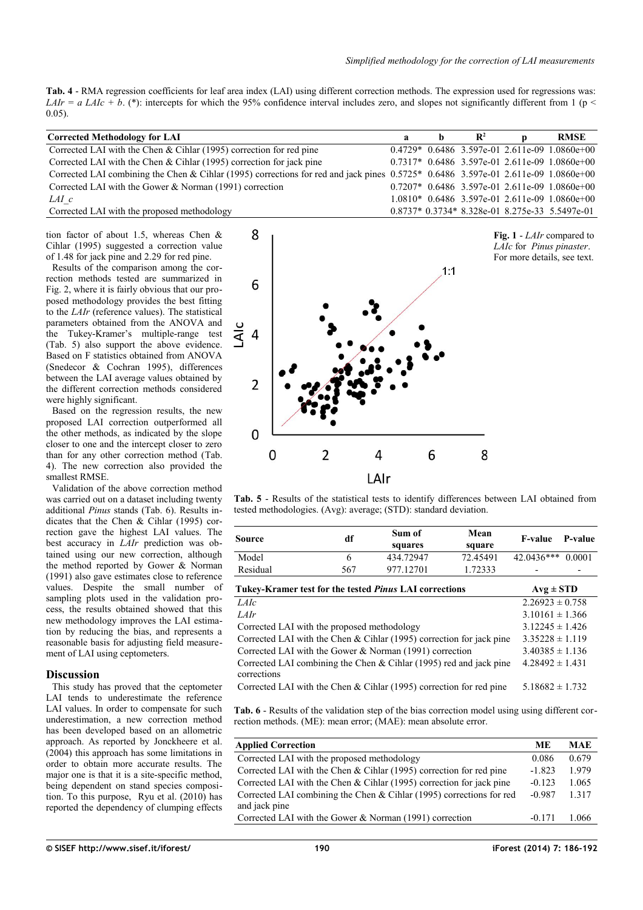<span id="page-4-1"></span>**Tab. 4** - RMA regression coefficients for leaf area index (LAI) using different correction methods. The expression used for regressions was: *LAIr = a LAIc + b.* (\*): intercepts for which the 95% confidence interval includes zero, and slopes not significantly different from 1 (p < 0.05).

| <b>Corrected Methodology for LAI</b>                                                                                            | $\mathbf{a}$ | <b>h</b> | $\mathbf{R}^2$ | <b>RMSE</b>                                     |
|---------------------------------------------------------------------------------------------------------------------------------|--------------|----------|----------------|-------------------------------------------------|
| Corrected LAI with the Chen & Cihlar (1995) correction for red pine                                                             |              |          |                | $0.4729* 0.6486 3.597e-01 2.611e-09 1.0860e+00$ |
| Corrected LAI with the Chen & Cihlar (1995) correction for jack pine                                                            |              |          |                | $0.7317* 0.6486 3.597e-01 2.611e-09 1.0860e+00$ |
| Corrected LAI combining the Chen & Cihlar (1995) corrections for red and jack pines $0.5725*0.64863.597e-012.611e-091.0860e+00$ |              |          |                |                                                 |
| Corrected LAI with the Gower $&$ Norman (1991) correction                                                                       |              |          |                | $0.7207*$ 0.6486 3.597e-01 2.611e-09 1.0860e+00 |
| LAI c                                                                                                                           |              |          |                | $1.0810*$ 0.6486 3.597e-01 2.611e-09 1.0860e+00 |
| Corrected LAI with the proposed methodology                                                                                     |              |          |                | $0.8737*0.3734*8.328e-018.275e-335.5497e-01$    |

tion factor of about 1.5, whereas Chen & Cihlar (1995) suggested a correction value of 1.48 for jack pine and 2.29 for red pine.

Results of the comparison among the correction methods tested are summarized in [Fig. 2,](#page-5-0) where it is fairly obvious that our proposed methodology provides the best fitting to the *LAIr* (reference values). The statistical parameters obtained from the ANOVA and the Tukey-Kramer's multiple-range test [\(Tab. 5\)](#page-4-0) also support the above evidence. Based on F statistics obtained from ANOVA (Snedecor & Cochran 1995), differences between the LAI average values obtained by the different correction methods considered were highly significant.

Based on the regression results, the new proposed LAI correction outperformed all the other methods, as indicated by the slope closer to one and the intercept closer to zero than for any other correction method [\(Tab.](#page-4-1) [4\)](#page-4-1). The new correction also provided the smallest RMSE.

Validation of the above correction method was carried out on a dataset including twenty additional *Pinus* stands [\(Tab. 6\)](#page-4-3). Results indicates that the Chen & Cihlar (1995) correction gave the highest LAI values. The best accuracy in *LAIr* prediction was obtained using our new correction, although the method reported by Gower & Norman (1991) also gave estimates close to reference values. Despite the small number of sampling plots used in the validation process, the results obtained showed that this new methodology improves the LAI estimation by reducing the bias, and represents a reasonable basis for adjusting field measurement of LAI using ceptometers.

# **Discussion**

This study has proved that the ceptometer LAI tends to underestimate the reference LAI values. In order to compensate for such underestimation, a new correction method has been developed based on an allometric approach. As reported by Jonckheere et al. (2004) this approach has some limitations in order to obtain more accurate results. The major one is that it is a site-specific method, being dependent on stand species composition. To this purpose, Ryu et al. (2010) has reported the dependency of clumping effects

<span id="page-4-2"></span>

<span id="page-4-0"></span>**Tab. 5** - Results of the statistical tests to identify differences between LAI obtained from tested methodologies. (Avg): average; (STD): standard deviation.

| Source                                                        | df            | Sum of<br>squares | Mean<br>square | F-value           | P-value |
|---------------------------------------------------------------|---------------|-------------------|----------------|-------------------|---------|
| Model                                                         | <sub>0</sub>  | 434 72947         | 72.45491       | 42.0436*** 0.0001 |         |
| Residual                                                      | 567           | 977.12701         | 1.72333        | -                 | -       |
| Tukey-Kramer test for the tested <i>Pinus</i> LAI corrections | $Avg \pm STD$ |                   |                |                   |         |

| I UKEV-KPAINER TEST TOP THE TESTED <i>PINUS</i> LATE COPPECTIONS                  | $\bf{A}$ ve $\bf{E}$ $\bf{S}$ $\bf{I}$ $\bf{D}$ |
|-----------------------------------------------------------------------------------|-------------------------------------------------|
| <i>LAIc</i>                                                                       | $2.26923 \pm 0.758$                             |
| LAIr                                                                              | $3.10161 \pm 1.366$                             |
| Corrected LAI with the proposed methodology                                       | $3.12245 \pm 1.426$                             |
| Corrected LAI with the Chen $& Chlar(1995)$ correction for jack pine              | $3.35228 \pm 1.119$                             |
| Corrected LAI with the Gower & Norman (1991) correction                           | $3.40385 \pm 1.136$                             |
| Corrected LAI combining the Chen & Cihlar (1995) red and jack pine<br>corrections | $4.28492 \pm 1.431$                             |
| Corrected LAI with the Chen & Cihlar (1995) correction for red pine               | $5.18682 \pm 1.732$                             |

<span id="page-4-3"></span>**Tab. 6** - Results of the validation step of the bias correction model using using different correction methods. (ME): mean error; (MAE): mean absolute error.

| <b>Applied Correction</b>                                             | MЕ       | <b>MAE</b> |
|-----------------------------------------------------------------------|----------|------------|
| Corrected LAI with the proposed methodology                           | 0.086    | 0.679      |
| Corrected LAI with the Chen & Cihlar $(1995)$ correction for red pine | $-1.823$ | 1979       |
| Corrected LAI with the Chen $& Chilar(1995)$ correction for jack pine | $-0.123$ | 1.065      |
| Corrected LAI combining the Chen $& Chlar(1995)$ corrections for red  | $-0.987$ | 1 3 1 7    |
| and jack pine                                                         |          |            |
| Corrected LAI with the Gower $\&$ Norman (1991) correction            | $-0.171$ | 1.066      |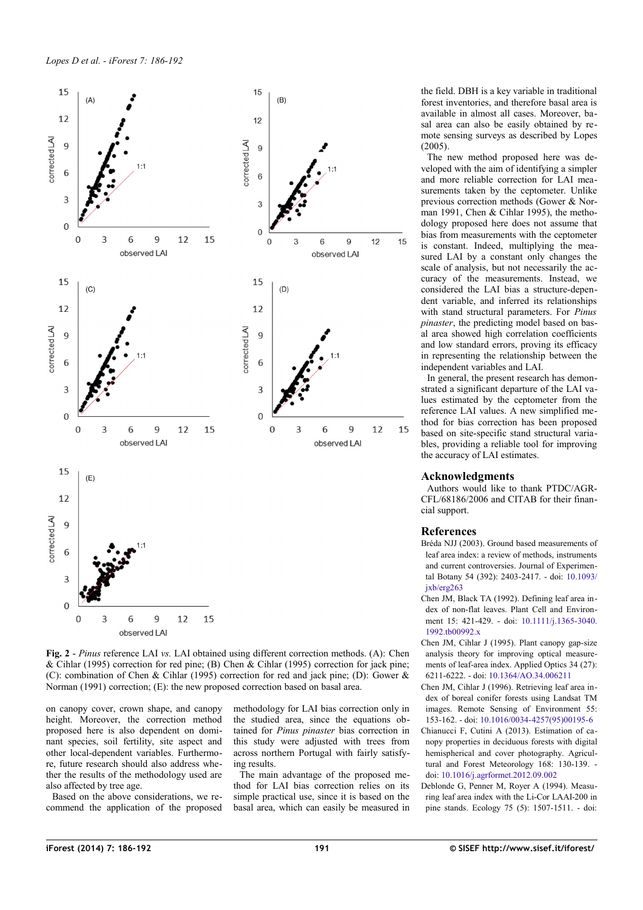

<span id="page-5-0"></span>**Fig. 2** - *Pinus* reference LAI *vs.* LAI obtained using different correction methods. (A): Chen & Cihlar (1995) correction for red pine; (B) Chen & Cihlar (1995) correction for jack pine; (C): combination of Chen & Cihlar (1995) correction for red and jack pine; (D): Gower & Norman (1991) correction; (E): the new proposed correction based on basal area.

on canopy cover, crown shape, and canopy height. Moreover, the correction method proposed here is also dependent on dominant species, soil fertility, site aspect and other local-dependent variables. Furthermore, future research should also address whether the results of the methodology used are also affected by tree age.

Based on the above considerations, we recommend the application of the proposed methodology for LAI bias correction only in the studied area, since the equations obtained for *Pinus pinaster* bias correction in this study were adjusted with trees from across northern Portugal with fairly satisfying results.

The main advantage of the proposed method for LAI bias correction relies on its simple practical use, since it is based on the basal area, which can easily be measured in

the field. DBH is a key variable in traditional forest inventories, and therefore basal area is available in almost all cases. Moreover, basal area can also be easily obtained by remote sensing surveys as described by Lopes (2005).

The new method proposed here was developed with the aim of identifying a simpler and more reliable correction for LAI measurements taken by the ceptometer. Unlike previous correction methods (Gower & Norman 1991, Chen & Cihlar 1995), the methodology proposed here does not assume that bias from measurements with the ceptometer is constant. Indeed, multiplying the measured LAI by a constant only changes the scale of analysis, but not necessarily the accuracy of the measurements. Instead, we considered the LAI bias a structure-dependent variable, and inferred its relationships with stand structural parameters. For *Pinus pinaster*, the predicting model based on basal area showed high correlation coefficients and low standard errors, proving its efficacy in representing the relationship between the independent variables and LAI.

In general, the present research has demonstrated a significant departure of the LAI values estimated by the ceptometer from the reference LAI values. A new simplified method for bias correction has been proposed based on site-specific stand structural variables, providing a reliable tool for improving the accuracy of LAI estimates.

#### **Acknowledgments**

Authors would like to thank PTDC/AGR-CFL/68186/2006 and CITAB for their financial support.

#### **References**

- Bréda NJJ (2003). Ground based measurements of leaf area index: a review of methods, instruments and current controversies. Journal of Experimental Botany 54 (392): 2403-2417. - doi: [10.1093/](http://dx.doi.org/10.1093/jxb/erg263) [jxb/erg263](http://dx.doi.org/10.1093/jxb/erg263)
- Chen JM, Black TA (1992). Defining leaf area index of non-flat leaves. Plant Cell and Environment 15: 421-429. - doi: [10.1111/j.1365-3040.](http://dx.doi.org/10.1111/j.1365-3040.1992.tb00992.x) [1992.tb00992.x](http://dx.doi.org/10.1111/j.1365-3040.1992.tb00992.x)
- Chen JM, Cihlar J (1995). Plant canopy gap-size analysis theory for improving optical measurements of leaf-area index. Applied Optics 34 (27): 6211-6222. - doi: [10.1364/AO.34.006211](http://dx.doi.org/10.1364/AO.34.006211)
- Chen JM, Cihlar J (1996). Retrieving leaf area index of boreal conifer forests using Landsat TM images. Remote Sensing of Environment 55: 153-162. - doi: [10.1016/0034-4257\(95\)00195-6](http://dx.doi.org/10.1016/0034-4257(95)00195-6)
- Chianucci F, Cutini A (2013). Estimation of canopy properties in deciduous forests with digital hemispherical and cover photography. Agricultural and Forest Meteorology 168: 130-139. doi: [10.1016/j.agrformet.2012.09.002](http://dx.doi.org/10.1016/j.agrformet.2012.09.002)
- Deblonde G, Penner M, Royer A (1994). Measuring leaf area index with the Li-Cor LAAI-200 in pine stands. Ecology 75 (5): 1507-1511. - doi: